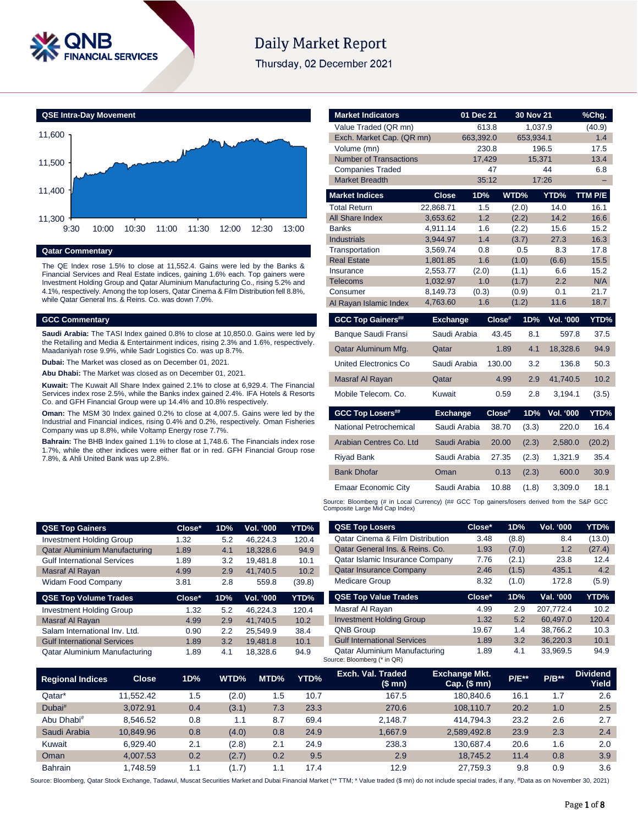

# **Daily Market Report**

Thursday, 02 December 2021



#### **Qatar Commentary**

The QE Index rose 1.5% to close at 11,552.4. Gains were led by the Banks & Financial Services and Real Estate indices, gaining 1.6% each. Top gainers were Investment Holding Group and Qatar Aluminium Manufacturing Co., rising 5.2% and 4.1%, respectively. Among the top losers, Qatar Cinema & Film Distribution fell 8.8%, while Qatar General Ins. & Reins. Co. was down 7.0%.

## **GCC Commentary**

**Saudi Arabia:** The TASI Index gained 0.8% to close at 10,850.0. Gains were led by the Retailing and Media & Entertainment indices, rising 2.3% and 1.6%, respectively. Maadaniyah rose 9.9%, while Sadr Logistics Co. was up 8.7%.

**Dubai:** The Market was closed as on December 01, 2021.

**Abu Dhabi:** The Market was closed as on December 01, 2021.

**Kuwait:** The Kuwait All Share Index gained 2.1% to close at 6,929.4. The Financial Services index rose 2.5%, while the Banks index gained 2.4%. IFA Hotels & Resorts Co. and GFH Financial Group were up 14.4% and 10.8% respectively.

**Oman:** The MSM 30 Index gained 0.2% to close at 4,007.5. Gains were led by the Industrial and Financial indices, rising 0.4% and 0.2%, respectively. Oman Fisheries Company was up 8.8%, while Voltamp Energy rose 7.7%.

**Bahrain:** The BHB Index gained 1.1% to close at 1,748.6. The Financials index rose 1.7%, while the other indices were either flat or in red. GFH Financial Group rose 7.8%, & Ahli United Bank was up 2.8%.

| <b>Market Indicators</b>                                                                    |                      | 01 Dec 21    |        | 30 Nov 21      |                  | %Chg.       |
|---------------------------------------------------------------------------------------------|----------------------|--------------|--------|----------------|------------------|-------------|
| Value Traded (QR mn)                                                                        |                      | 613.8        |        | 1,037.9        |                  | (40.9)      |
| Exch. Market Cap. (QR mn)                                                                   |                      | 663,392.0    |        | 653,934.1      |                  | 1.4         |
| Volume (mn)                                                                                 |                      | 230.8        |        | 196.5          |                  | 17.5        |
| <b>Number of Transactions</b>                                                               |                      | 17,429       |        | 15,371         |                  | 13.4        |
| <b>Companies Traded</b>                                                                     |                      | 47           |        |                | 44               | 6.8         |
| <b>Market Breadth</b>                                                                       |                      | 35:12        |        | 17:26          |                  |             |
| <b>Market Indices</b>                                                                       | <b>Close</b>         | 1D%          |        | WTD%           | YTD%             | TTM P/E     |
| <b>Total Return</b>                                                                         | 22,868.71            | 1.5          |        | (2.0)          | 14.0             | 16.1        |
| <b>All Share Index</b>                                                                      | 3.653.62             | 1.2          |        | (2.2)          | 14.2             | 16.6        |
| <b>Banks</b>                                                                                | 4,911.14             | 1.6          |        | (2.2)          | 15.6             | 15.2        |
| <b>Industrials</b>                                                                          | 3,944.97             | 1.4          |        | (3.7)          | 27.3             | 16.3        |
| Transportation                                                                              | 3,569.74             | 0.8          |        | 0.5            | 8.3              | 17.8        |
| <b>Real Estate</b>                                                                          | 1,801.85             | 1.6          |        | (1.0)          | (6.6)            | 15.5        |
| Insurance                                                                                   | 2,553.77             | (2.0)        |        | (1.1)          | 6.6              | 15.2        |
| <b>Telecoms</b><br>Consumer                                                                 | 1,032.97<br>8,149.73 | 1.0<br>(0.3) |        | (1.7)<br>(0.9) | 2.2<br>0.1       | N/A<br>21.7 |
| Al Rayan Islamic Index                                                                      | 4,763.60             | 1.6          |        | (1.2)          | 11.6             | 18.7        |
|                                                                                             |                      |              |        |                |                  |             |
| <b>GCC Top Gainers##</b>                                                                    | <b>Exchange</b>      |              | Close# | 1D%            | <b>Vol. '000</b> | YTD%        |
| Banque Saudi Fransi                                                                         | Saudi Arabia         |              | 43.45  | 8.1            | 597.8            | 37.5        |
| Qatar Aluminum Mfg.                                                                         | Qatar                |              | 1.89   | 4.1            | 18,328.6         | 94.9        |
| United Electronics Co                                                                       | Saudi Arabia         |              | 130.00 | 3.2            | 136.8            | 50.3        |
| Masraf Al Rayan                                                                             | Qatar                |              | 4.99   | 2.9            | 41,740.5         | 10.2        |
| Mobile Telecom, Co.                                                                         | Kuwait               |              | 0.59   | 2.8            | 3,194.1          | (3.5)       |
| <b>GCC Top Losers##</b>                                                                     | <b>Exchange</b>      |              | Close# | 1D%            | Vol. '000        | YTD%        |
| National Petrochemical                                                                      | Saudi Arabia         |              | 38.70  | (3.3)          | 220.0            | 16.4        |
| Arabian Centres Co. Ltd                                                                     | Saudi Arabia         |              | 20.00  | (2.3)          | 2,580.0          | (20.2)      |
| <b>Riyad Bank</b>                                                                           | Saudi Arabia         |              | 27.35  | (2.3)          | 1,321.9          | 35.4        |
| <b>Bank Dhofar</b>                                                                          | Oman                 |              | 0.13   | (2.3)          | 600.0            | 30.9        |
| <b>Emaar Economic City</b>                                                                  | Saudi Arabia         |              | 10.88  | (1.8)          | 3,309.0          | 18.1        |
| Source: Bloomberg (# in Local Currency) (## GCC Top gainers/losers derived from the S&P GCC |                      |              |        |                |                  |             |

Source: Bloomberg (# in Local Currency) (## GCC Top gainers/losers derived from the S&P GCC Composite Large Mid Cap Index)

| <b>QSE Top Gainers</b>               | Close* | 1D% | Vol. '000        | YTD%   |
|--------------------------------------|--------|-----|------------------|--------|
| <b>Investment Holding Group</b>      | 1.32   | 5.2 | 46.224.3         | 120.4  |
| <b>Qatar Aluminium Manufacturing</b> | 1.89   | 4.1 | 18,328.6         | 94.9   |
| <b>Gulf International Services</b>   | 1.89   | 3.2 | 19,481.8         | 10.1   |
| Masraf Al Rayan                      | 4.99   | 2.9 | 41.740.5         | 10.2   |
| <b>Widam Food Company</b>            | 3.81   | 2.8 | 559.8            | (39.8) |
|                                      |        |     |                  |        |
| <b>QSE Top Volume Trades</b>         | Close* | 1D% | <b>Vol. '000</b> | YTD%   |
| <b>Investment Holding Group</b>      | 1.32   | 5.2 | 46.224.3         | 120.4  |
| Masraf Al Rayan                      | 4.99   | 2.9 | 41.740.5         | 10.2   |
| Salam International Inv. Ltd.        | 0.90   | 2.2 | 25.549.9         | 38.4   |
| <b>Gulf International Services</b>   | 1.89   | 3.2 | 19,481.8         | 10.1   |

| <b>QSE Top Losers</b>                       | Close* | 1D%   | Vol. '000 | YTD%   |
|---------------------------------------------|--------|-------|-----------|--------|
| <b>Qatar Cinema &amp; Film Distribution</b> | 3.48   | (8.8) | 8.4       | (13.0) |
| Qatar General Ins. & Reins. Co.             | 1.93   | (7.0) | 1.2       | (27.4) |
| Qatar Islamic Insurance Company             | 7.76   | (2.1) | 23.8      | 12.4   |
| <b>Qatar Insurance Company</b>              | 2.46   | (1.5) | 435.1     | 4.2    |
| <b>Medicare Group</b>                       | 8.32   | (1.0) | 172.8     | (5.9)  |
|                                             |        |       |           |        |
| <b>QSE Top Value Trades</b>                 | Close* | 1D%   | Val. '000 | YTD%   |
| Masraf Al Rayan                             | 4.99   | 2.9   | 207.772.4 | 10.2   |
| <b>Investment Holding Group</b>             | 1.32   | 5.2   | 60.497.0  | 120.4  |
| <b>QNB Group</b>                            | 19.67  | 1.4   | 38.766.2  | 10.3   |
| <b>Gulf International Services</b>          | 1.89   | 3.2   | 36.220.3  | 10.1   |

| <b>Regional Indices</b> | <b>Close</b> | 1D% | WTD%  | MTD% | YTD% | Exch. Val. Traded<br>(\$ mn) | <b>Exchange Mkt.</b><br>Cap. $($mn)$ | <b>P/E**</b> | $P/B**$ | <b>Dividend</b><br>Yield |
|-------------------------|--------------|-----|-------|------|------|------------------------------|--------------------------------------|--------------|---------|--------------------------|
| Qatar*                  | 11.552.42    | 1.5 | (2.0) | 1.5  | 10.7 | 167.5                        | 180.840.6                            | 16.1         | 1.7     | 2.6                      |
| Dubai#                  | 3.072.91     | 0.4 | (3.1) | 7.3  | 23.3 | 270.6                        | 108.110.7                            | 20.2         | 1.0     | 2.5                      |
| Abu Dhabi#              | 8.546.52     | 0.8 | 1.1   | 8.7  | 69.4 | 2.148.7                      | 414.794.3                            | 23.2         | 2.6     | 2.7                      |
| Saudi Arabia            | 10.849.96    | 0.8 | (4.0) | 0.8  | 24.9 | 1.667.9                      | 2.589.492.8                          | 23.9         | 2.3     | 2.4                      |
| Kuwait                  | 6.929.40     | 2.1 | (2.8) | 2.1  | 24.9 | 238.3                        | 130.687.4                            | 20.6         | 1.6     | 2.0                      |
| Oman                    | 4.007.53     | 0.2 | (2.7) | 0.2  | 9.5  | 2.9                          | 18.745.2                             | 11.4         | 0.8     | 3.9                      |
| <b>Bahrain</b>          | .748.59      | 1.1 | 1.7   | 1.1  | 17.4 | 12.9                         | 27.759.3                             | 9.8          | 0.9     | 3.6                      |

Source: Bloomberg, Qatar Stock Exchange, Tadawul, Muscat Securities Market and Dubai Financial Market (\*\* TTM; \* Value traded (\$ mn) do not include special trades, if any, #Data as on November 30, 2021)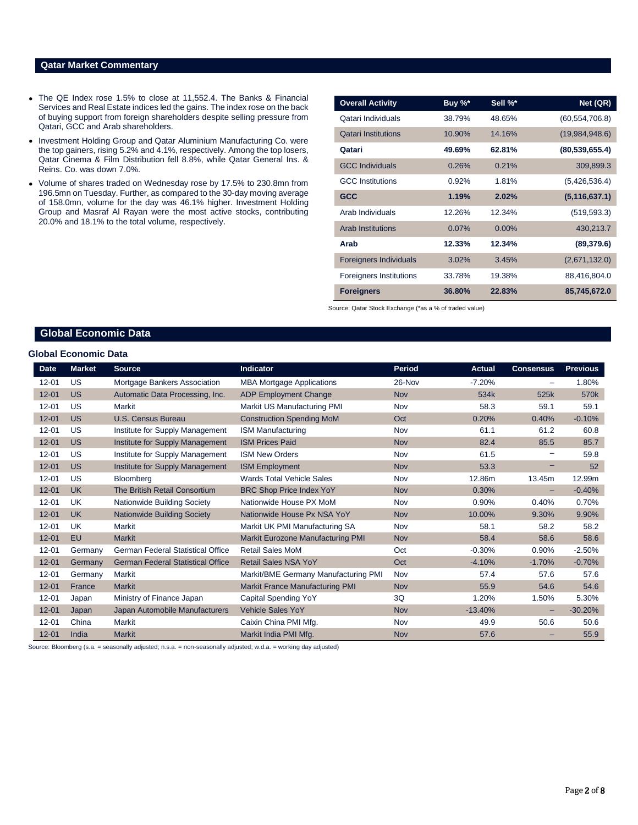# **Qatar Market Commentary**

- The QE Index rose 1.5% to close at 11,552.4. The Banks & Financial Services and Real Estate indices led the gains. The index rose on the back of buying support from foreign shareholders despite selling pressure from Qatari, GCC and Arab shareholders.
- Investment Holding Group and Qatar Aluminium Manufacturing Co. were the top gainers, rising 5.2% and 4.1%, respectively. Among the top losers, Qatar Cinema & Film Distribution fell 8.8%, while Qatar General Ins. & Reins. Co. was down 7.0%.
- Volume of shares traded on Wednesday rose by 17.5% to 230.8mn from 196.5mn on Tuesday. Further, as compared to the 30-day moving average of 158.0mn, volume for the day was 46.1% higher. Investment Holding Group and Masraf Al Rayan were the most active stocks, contributing 20.0% and 18.1% to the total volume, respectively.

| <b>Overall Activity</b>        | Buy %* | Sell %*  | Net (QR)         |
|--------------------------------|--------|----------|------------------|
| Qatari Individuals             | 38.79% | 48.65%   | (60, 554, 706.8) |
| <b>Qatari Institutions</b>     | 10.90% | 14.16%   | (19,984,948.6)   |
| Qatari                         | 49.69% | 62.81%   | (80, 539, 655.4) |
| <b>GCC Individuals</b>         | 0.26%  | 0.21%    | 309,899.3        |
| <b>GCC</b> Institutions        | 0.92%  | 1.81%    | (5,426,536.4)    |
| <b>GCC</b>                     | 1.19%  | 2.02%    | (5, 116, 637.1)  |
| Arab Individuals               | 12.26% | 12.34%   | (519, 593.3)     |
| <b>Arab Institutions</b>       | 0.07%  | $0.00\%$ | 430,213.7        |
| Arab                           | 12.33% | 12.34%   | (89, 379.6)      |
| <b>Foreigners Individuals</b>  | 3.02%  | 3.45%    | (2,671,132.0)    |
| <b>Foreigners Institutions</b> | 33.78% | 19.38%   | 88,416,804.0     |
| <b>Foreigners</b>              | 36.80% | 22.83%   | 85,745,672.0     |

Source: Qatar Stock Exchange (\*as a % of traded value)

# **Global Economic Data**

#### **Global Economic Data**

| <b>Date</b> | <b>Market</b> | <b>Source</b>                            | <b>Indicator</b>                       | <b>Period</b> | <b>Actual</b> | <b>Consensus</b> | <b>Previous</b>  |
|-------------|---------------|------------------------------------------|----------------------------------------|---------------|---------------|------------------|------------------|
| $12 - 01$   | US            | Mortgage Bankers Association             | <b>MBA Mortgage Applications</b>       | 26-Nov        | $-7.20%$      |                  | 1.80%            |
| $12 - 01$   | <b>US</b>     | Automatic Data Processing, Inc.          | <b>ADP Employment Change</b>           | <b>Nov</b>    | 534k          | 525k             | 570 <sub>k</sub> |
| $12 - 01$   | US            | <b>Markit</b>                            | Markit US Manufacturing PMI            | Nov           | 58.3          | 59.1             | 59.1             |
| $12 - 01$   | <b>US</b>     | U.S. Census Bureau                       | <b>Construction Spending MoM</b>       | Oct           | 0.20%         | 0.40%            | $-0.10%$         |
| $12 - 01$   | US            | Institute for Supply Management          | <b>ISM Manufacturing</b>               | Nov           | 61.1          | 61.2             | 60.8             |
| $12 - 01$   | <b>US</b>     | Institute for Supply Management          | <b>ISM Prices Paid</b>                 | <b>Nov</b>    | 82.4          | 85.5             | 85.7             |
| $12 - 01$   | US            | Institute for Supply Management          | <b>ISM New Orders</b>                  | Nov           | 61.5          |                  | 59.8             |
| $12 - 01$   | <b>US</b>     | Institute for Supply Management          | <b>ISM Employment</b>                  | <b>Nov</b>    | 53.3          |                  | 52               |
| $12 - 01$   | US            | <b>Bloomberg</b>                         | <b>Wards Total Vehicle Sales</b>       | Nov           | 12.86m        | 13.45m           | 12.99m           |
| $12 - 01$   | <b>UK</b>     | The British Retail Consortium            | <b>BRC Shop Price Index YoY</b>        | Nov           | 0.30%         | -                | $-0.40%$         |
| $12 - 01$   | UK            | Nationwide Building Society              | Nationwide House PX MoM                | Nov           | 0.90%         | 0.40%            | 0.70%            |
| $12 - 01$   | <b>UK</b>     | <b>Nationwide Building Society</b>       | Nationwide House Px NSA YoY            | <b>Nov</b>    | 10.00%        | 9.30%            | 9.90%            |
| $12 - 01$   | UK            | <b>Markit</b>                            | Markit UK PMI Manufacturing SA         | Nov           | 58.1          | 58.2             | 58.2             |
| $12 - 01$   | EU            | <b>Markit</b>                            | Markit Eurozone Manufacturing PMI      | <b>Nov</b>    | 58.4          | 58.6             | 58.6             |
| $12 - 01$   | Germany       | <b>German Federal Statistical Office</b> | <b>Retail Sales MoM</b>                | Oct           | $-0.30%$      | 0.90%            | $-2.50%$         |
| $12 - 01$   | Germany       | <b>German Federal Statistical Office</b> | <b>Retail Sales NSA YoY</b>            | Oct           | $-4.10%$      | $-1.70%$         | $-0.70%$         |
| $12 - 01$   | Germany       | <b>Markit</b>                            | Markit/BME Germany Manufacturing PMI   | Nov           | 57.4          | 57.6             | 57.6             |
| $12 - 01$   | France        | <b>Markit</b>                            | <b>Markit France Manufacturing PMI</b> | <b>Nov</b>    | 55.9          | 54.6             | 54.6             |
| $12 - 01$   | Japan         | Ministry of Finance Japan                | Capital Spending YoY                   | 3Q            | 1.20%         | 1.50%            | 5.30%            |
| $12 - 01$   | Japan         | Japan Automobile Manufacturers           | <b>Vehicle Sales YoY</b>               | <b>Nov</b>    | $-13.40%$     |                  | $-30.20%$        |
| $12 - 01$   | China         | <b>Markit</b>                            | Caixin China PMI Mfg.                  | Nov           | 49.9          | 50.6             | 50.6             |
| $12 - 01$   | India         | <b>Markit</b>                            | Markit India PMI Mfg.                  | <b>Nov</b>    | 57.6          |                  | 55.9             |

Source: Bloomberg (s.a. = seasonally adjusted; n.s.a. = non-seasonally adjusted; w.d.a. = working day adjusted)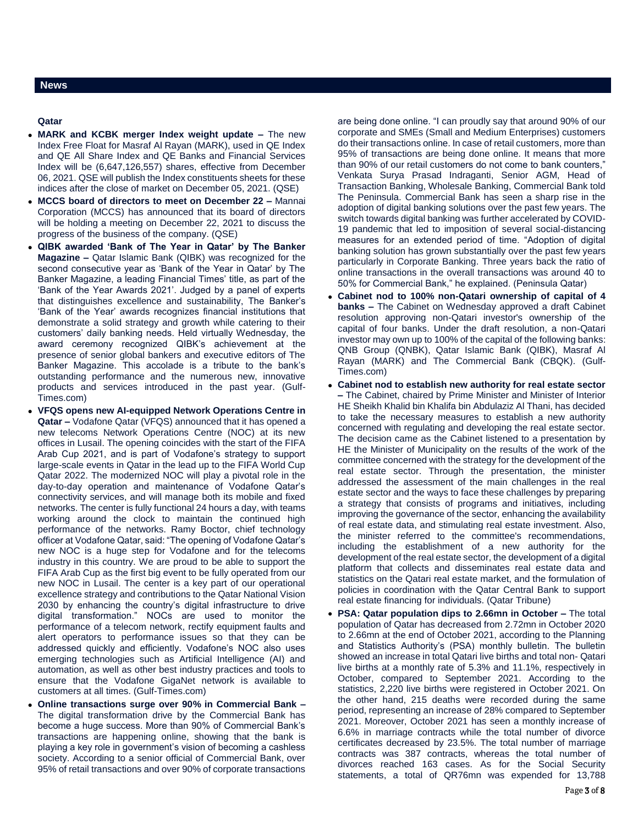### **Qatar**

- **MARK and KCBK merger Index weight update –** The new Index Free Float for Masraf Al Rayan (MARK), used in QE Index and QE All Share Index and QE Banks and Financial Services Index will be (6,647,126,557) shares, effective from December 06, 2021. QSE will publish the Index constituents sheets for these indices after the close of market on December 05, 2021. (QSE)
- **MCCS board of directors to meet on December 22 –** Mannai Corporation (MCCS) has announced that its board of directors will be holding a meeting on December 22, 2021 to discuss the progress of the business of the company. (QSE)
- **QIBK awarded 'Bank of The Year in Qatar' by The Banker Magazine –** Qatar Islamic Bank (QIBK) was recognized for the second consecutive year as 'Bank of the Year in Qatar' by The Banker Magazine, a leading Financial Times' title, as part of the 'Bank of the Year Awards 2021'. Judged by a panel of experts that distinguishes excellence and sustainability, The Banker's 'Bank of the Year' awards recognizes financial institutions that demonstrate a solid strategy and growth while catering to their customers' daily banking needs. Held virtually Wednesday, the award ceremony recognized QIBK's achievement at the presence of senior global bankers and executive editors of The Banker Magazine. This accolade is a tribute to the bank's outstanding performance and the numerous new, innovative products and services introduced in the past year. (Gulf-Times.com)
- **VFQS opens new AI-equipped Network Operations Centre in Qatar –** Vodafone Qatar (VFQS) announced that it has opened a new telecoms Network Operations Centre (NOC) at its new offices in Lusail. The opening coincides with the start of the FIFA Arab Cup 2021, and is part of Vodafone's strategy to support large-scale events in Qatar in the lead up to the FIFA World Cup Qatar 2022. The modernized NOC will play a pivotal role in the day-to-day operation and maintenance of Vodafone Qatar's connectivity services, and will manage both its mobile and fixed networks. The center is fully functional 24 hours a day, with teams working around the clock to maintain the continued high performance of the networks. Ramy Boctor, chief technology officer at Vodafone Qatar, said: "The opening of Vodafone Qatar's new NOC is a huge step for Vodafone and for the telecoms industry in this country. We are proud to be able to support the FIFA Arab Cup as the first big event to be fully operated from our new NOC in Lusail. The center is a key part of our operational excellence strategy and contributions to the Qatar National Vision 2030 by enhancing the country's digital infrastructure to drive digital transformation." NOCs are used to monitor the performance of a telecom network, rectify equipment faults and alert operators to performance issues so that they can be addressed quickly and efficiently. Vodafone's NOC also uses emerging technologies such as Artificial Intelligence (AI) and automation, as well as other best industry practices and tools to ensure that the Vodafone GigaNet network is available to customers at all times. (Gulf-Times.com)
- **Online transactions surge over 90% in Commercial Bank –** The digital transformation drive by the Commercial Bank has become a huge success. More than 90% of Commercial Bank's transactions are happening online, showing that the bank is playing a key role in government's vision of becoming a cashless society. According to a senior official of Commercial Bank, over 95% of retail transactions and over 90% of corporate transactions

are being done online. "I can proudly say that around 90% of our corporate and SMEs (Small and Medium Enterprises) customers do their transactions online. In case of retail customers, more than 95% of transactions are being done online. It means that more than 90% of our retail customers do not come to bank counters," Venkata Surya Prasad Indraganti, Senior AGM, Head of Transaction Banking, Wholesale Banking, Commercial Bank told The Peninsula. Commercial Bank has seen a sharp rise in the adoption of digital banking solutions over the past few years. The switch towards digital banking was further accelerated by COVID-19 pandemic that led to imposition of several social-distancing measures for an extended period of time. "Adoption of digital banking solution has grown substantially over the past few years particularly in Corporate Banking. Three years back the ratio of online transactions in the overall transactions was around 40 to 50% for Commercial Bank," he explained. (Peninsula Qatar)

- **Cabinet nod to 100% non-Qatari ownership of capital of 4 banks –** The Cabinet on Wednesday approved a draft Cabinet resolution approving non-Qatari investor's ownership of the capital of four banks. Under the draft resolution, a non-Qatari investor may own up to 100% of the capital of the following banks: QNB Group (QNBK), Qatar Islamic Bank (QIBK), Masraf Al Rayan (MARK) and The Commercial Bank (CBQK). (Gulf-Times.com)
- **Cabinet nod to establish new authority for real estate sector –** The Cabinet, chaired by Prime Minister and Minister of Interior HE Sheikh Khalid bin Khalifa bin Abdulaziz Al Thani, has decided to take the necessary measures to establish a new authority concerned with regulating and developing the real estate sector. The decision came as the Cabinet listened to a presentation by HE the Minister of Municipality on the results of the work of the committee concerned with the strategy for the development of the real estate sector. Through the presentation, the minister addressed the assessment of the main challenges in the real estate sector and the ways to face these challenges by preparing a strategy that consists of programs and initiatives, including improving the governance of the sector, enhancing the availability of real estate data, and stimulating real estate investment. Also, the minister referred to the committee's recommendations, including the establishment of a new authority for the development of the real estate sector, the development of a digital platform that collects and disseminates real estate data and statistics on the Qatari real estate market, and the formulation of policies in coordination with the Qatar Central Bank to support real estate financing for individuals. (Qatar Tribune)
- **PSA: Qatar population dips to 2.66mn in October –** The total population of Qatar has decreased from 2.72mn in October 2020 to 2.66mn at the end of October 2021, according to the Planning and Statistics Authority's (PSA) monthly bulletin. The bulletin showed an increase in total Qatari live births and total non- Qatari live births at a monthly rate of 5.3% and 11.1%, respectively in October, compared to September 2021. According to the statistics, 2,220 live births were registered in October 2021. On the other hand, 215 deaths were recorded during the same period, representing an increase of 28% compared to September 2021. Moreover, October 2021 has seen a monthly increase of 6.6% in marriage contracts while the total number of divorce certificates decreased by 23.5%. The total number of marriage contracts was 387 contracts, whereas the total number of divorces reached 163 cases. As for the Social Security statements, a total of QR76mn was expended for 13,788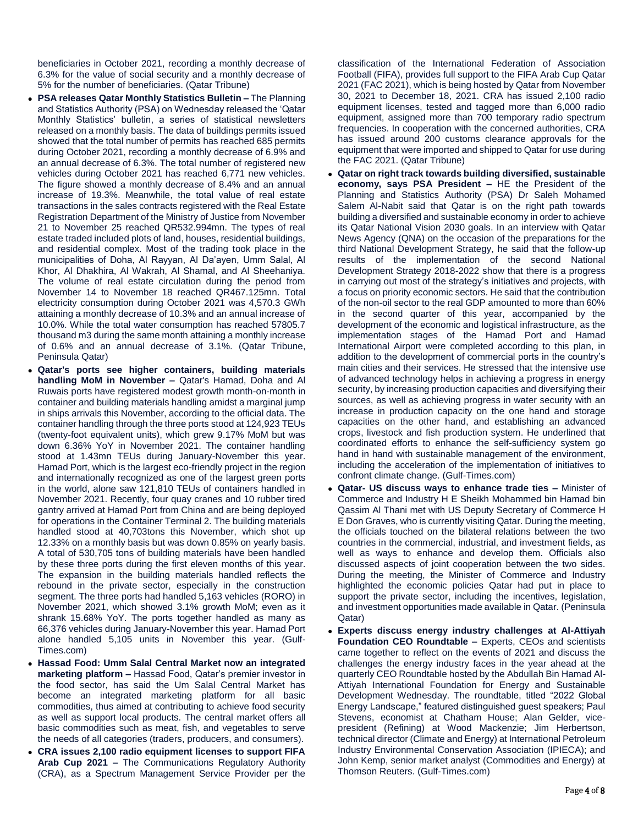beneficiaries in October 2021, recording a monthly decrease of 6.3% for the value of social security and a monthly decrease of 5% for the number of beneficiaries. (Qatar Tribune)

- **PSA releases Qatar Monthly Statistics Bulletin –** The Planning and Statistics Authority (PSA) on Wednesday released the 'Qatar Monthly Statistics' bulletin, a series of statistical newsletters released on a monthly basis. The data of buildings permits issued showed that the total number of permits has reached 685 permits during October 2021, recording a monthly decrease of 6.9% and an annual decrease of 6.3%. The total number of registered new vehicles during October 2021 has reached 6,771 new vehicles. The figure showed a monthly decrease of 8.4% and an annual increase of 19.3%. Meanwhile, the total value of real estate transactions in the sales contracts registered with the Real Estate Registration Department of the Ministry of Justice from November 21 to November 25 reached QR532.994mn. The types of real estate traded included plots of land, houses, residential buildings, and residential complex. Most of the trading took place in the municipalities of Doha, Al Rayyan, Al Da'ayen, Umm Salal, Al Khor, Al Dhakhira, Al Wakrah, Al Shamal, and Al Sheehaniya. The volume of real estate circulation during the period from November 14 to November 18 reached QR467.125mn. Total electricity consumption during October 2021 was 4,570.3 GWh attaining a monthly decrease of 10.3% and an annual increase of 10.0%. While the total water consumption has reached 57805.7 thousand m3 during the same month attaining a monthly increase of 0.6% and an annual decrease of 3.1%. (Qatar Tribune, Peninsula Qatar)
- **Qatar's ports see higher containers, building materials handling MoM in November –** Qatar's Hamad, Doha and Al Ruwais ports have registered modest growth month-on-month in container and building materials handling amidst a marginal jump in ships arrivals this November, according to the official data. The container handling through the three ports stood at 124,923 TEUs (twenty-foot equivalent units), which grew 9.17% MoM but was down 6.36% YoY in November 2021. The container handling stood at 1.43mn TEUs during January-November this year. Hamad Port, which is the largest eco-friendly project in the region and internationally recognized as one of the largest green ports in the world, alone saw 121,810 TEUs of containers handled in November 2021. Recently, four quay cranes and 10 rubber tired gantry arrived at Hamad Port from China and are being deployed for operations in the Container Terminal 2. The building materials handled stood at 40,703tons this November, which shot up 12.33% on a monthly basis but was down 0.85% on yearly basis. A total of 530,705 tons of building materials have been handled by these three ports during the first eleven months of this year. The expansion in the building materials handled reflects the rebound in the private sector, especially in the construction segment. The three ports had handled 5,163 vehicles (RORO) in November 2021, which showed 3.1% growth MoM; even as it shrank 15.68% YoY. The ports together handled as many as 66,376 vehicles during January-November this year. Hamad Port alone handled 5,105 units in November this year. (Gulf-Times.com)
- **Hassad Food: Umm Salal Central Market now an integrated marketing platform –** Hassad Food, Qatar's premier investor in the food sector, has said the Um Salal Central Market has become an integrated marketing platform for all basic commodities, thus aimed at contributing to achieve food security as well as support local products. The central market offers all basic commodities such as meat, fish, and vegetables to serve the needs of all categories (traders, producers, and consumers).
- **CRA issues 2,100 radio equipment licenses to support FIFA Arab Cup 2021 –** The Communications Regulatory Authority (CRA), as a Spectrum Management Service Provider per the

classification of the International Federation of Association Football (FIFA), provides full support to the FIFA Arab Cup Qatar 2021 (FAC 2021), which is being hosted by Qatar from November 30, 2021 to December 18, 2021. CRA has issued 2,100 radio equipment licenses, tested and tagged more than 6,000 radio equipment, assigned more than 700 temporary radio spectrum frequencies. In cooperation with the concerned authorities, CRA has issued around 200 customs clearance approvals for the equipment that were imported and shipped to Qatar for use during the FAC 2021. (Qatar Tribune)

- **Qatar on right track towards building diversified, sustainable economy, says PSA President –** HE the President of the Planning and Statistics Authority (PSA) Dr Saleh Mohamed Salem Al-Nabit said that Qatar is on the right path towards building a diversified and sustainable economy in order to achieve its Qatar National Vision 2030 goals. In an interview with Qatar News Agency (QNA) on the occasion of the preparations for the third National Development Strategy, he said that the follow-up results of the implementation of the second National Development Strategy 2018-2022 show that there is a progress in carrying out most of the strategy's initiatives and projects, with a focus on priority economic sectors. He said that the contribution of the non-oil sector to the real GDP amounted to more than 60% in the second quarter of this year, accompanied by the development of the economic and logistical infrastructure, as the implementation stages of the Hamad Port and Hamad International Airport were completed according to this plan, in addition to the development of commercial ports in the country's main cities and their services. He stressed that the intensive use of advanced technology helps in achieving a progress in energy security, by increasing production capacities and diversifying their sources, as well as achieving progress in water security with an increase in production capacity on the one hand and storage capacities on the other hand, and establishing an advanced crops, livestock and fish production system. He underlined that coordinated efforts to enhance the self-sufficiency system go hand in hand with sustainable management of the environment, including the acceleration of the implementation of initiatives to confront climate change. (Gulf-Times.com)
- **Qatar- US discuss ways to enhance trade ties –** Minister of Commerce and Industry H E Sheikh Mohammed bin Hamad bin Qassim Al Thani met with US Deputy Secretary of Commerce H E Don Graves, who is currently visiting Qatar. During the meeting, the officials touched on the bilateral relations between the two countries in the commercial, industrial, and investment fields, as well as ways to enhance and develop them. Officials also discussed aspects of joint cooperation between the two sides. During the meeting, the Minister of Commerce and Industry highlighted the economic policies Qatar had put in place to support the private sector, including the incentives, legislation, and investment opportunities made available in Qatar. (Peninsula Qatar)
- **Experts discuss energy industry challenges at Al-Attiyah Foundation CEO Roundtable –** Experts, CEOs and scientists came together to reflect on the events of 2021 and discuss the challenges the energy industry faces in the year ahead at the quarterly CEO Roundtable hosted by the Abdullah Bin Hamad Al-Attiyah International Foundation for Energy and Sustainable Development Wednesday. The roundtable, titled "2022 Global Energy Landscape," featured distinguished guest speakers; Paul Stevens, economist at Chatham House; Alan Gelder, vicepresident (Refining) at Wood Mackenzie; Jim Herbertson, technical director (Climate and Energy) at International Petroleum Industry Environmental Conservation Association (IPIECA); and John Kemp, senior market analyst (Commodities and Energy) at Thomson Reuters. (Gulf-Times.com)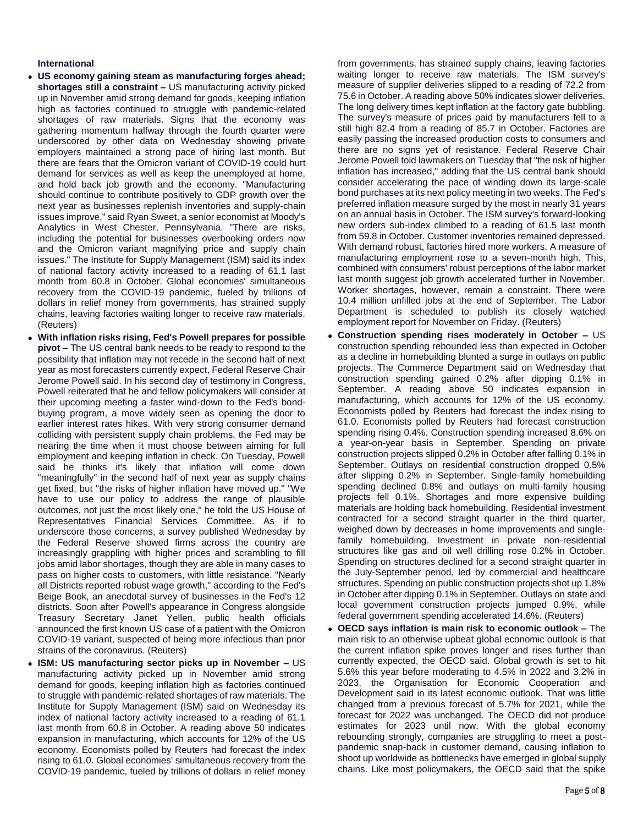### **International**

- **US economy gaining steam as manufacturing forges ahead; shortages still a constraint –** US manufacturing activity picked up in November amid strong demand for goods, keeping inflation high as factories continued to struggle with pandemic-related shortages of raw materials. Signs that the economy was gathering momentum halfway through the fourth quarter were underscored by other data on Wednesday showing private employers maintained a strong pace of hiring last month. But there are fears that the Omicron variant of COVID-19 could hurt demand for services as well as keep the unemployed at home, and hold back job growth and the economy. "Manufacturing should continue to contribute positively to GDP growth over the next year as businesses replenish inventories and supply-chain issues improve," said Ryan Sweet, a senior economist at Moody's Analytics in West Chester, Pennsylvania. "There are risks, including the potential for businesses overbooking orders now and the Omicron variant magnifying price and supply chain issues." The Institute for Supply Management (ISM) said its index of national factory activity increased to a reading of 61.1 last month from 60.8 in October. Global economies' simultaneous recovery from the COVID-19 pandemic, fueled by trillions of dollars in relief money from governments, has strained supply chains, leaving factories waiting longer to receive raw materials. (Reuters)
- **With inflation risks rising, Fed's Powell prepares for possible pivot –** The US central bank needs to be ready to respond to the possibility that inflation may not recede in the second half of next year as most forecasters currently expect, Federal Reserve Chair Jerome Powell said. In his second day of testimony in Congress, Powell reiterated that he and fellow policymakers will consider at their upcoming meeting a faster wind-down to the Fed's bondbuying program, a move widely seen as opening the door to earlier interest rates hikes. With very strong consumer demand colliding with persistent supply chain problems, the Fed may be nearing the time when it must choose between aiming for full employment and keeping inflation in check. On Tuesday, Powell said he thinks it's likely that inflation will come down "meaningfully" in the second half of next year as supply chains get fixed, but "the risks of higher inflation have moved up." "We have to use our policy to address the range of plausible outcomes, not just the most likely one," he told the US House of Representatives Financial Services Committee. As if to underscore those concerns, a survey published Wednesday by the Federal Reserve showed firms across the country are increasingly grappling with higher prices and scrambling to fill jobs amid labor shortages, though they are able in many cases to pass on higher costs to customers, with little resistance. "Nearly all Districts reported robust wage growth," according to the Fed's Beige Book, an anecdotal survey of businesses in the Fed's 12 districts. Soon after Powell's appearance in Congress alongside Treasury Secretary Janet Yellen, public health officials announced the first known US case of a patient with the Omicron COVID-19 variant, suspected of being more infectious than prior strains of the coronavirus. (Reuters)
- **ISM: US manufacturing sector picks up in November –** US manufacturing activity picked up in November amid strong demand for goods, keeping inflation high as factories continued to struggle with pandemic-related shortages of raw materials. The Institute for Supply Management (ISM) said on Wednesday its index of national factory activity increased to a reading of 61.1 last month from 60.8 in October. A reading above 50 indicates expansion in manufacturing, which accounts for 12% of the US economy. Economists polled by Reuters had forecast the index rising to 61.0. Global economies' simultaneous recovery from the COVID-19 pandemic, fueled by trillions of dollars in relief money

from governments, has strained supply chains, leaving factories waiting longer to receive raw materials. The ISM survey's measure of supplier deliveries slipped to a reading of 72.2 from 75.6 in October. A reading above 50% indicates slower deliveries. The long delivery times kept inflation at the factory gate bubbling. The survey's measure of prices paid by manufacturers fell to a still high 82.4 from a reading of 85.7 in October. Factories are easily passing the increased production costs to consumers and there are no signs yet of resistance. Federal Reserve Chair Jerome Powell told lawmakers on Tuesday that "the risk of higher inflation has increased," adding that the US central bank should consider accelerating the pace of winding down its large-scale bond purchases at its next policy meeting in two weeks. The Fed's preferred inflation measure surged by the most in nearly 31 years on an annual basis in October. The ISM survey's forward-looking new orders sub-index climbed to a reading of 61.5 last month from 59.8 in October. Customer inventories remained depressed. With demand robust, factories hired more workers. A measure of manufacturing employment rose to a seven-month high. This, combined with consumers' robust perceptions of the labor market last month suggest job growth accelerated further in November. Worker shortages, however, remain a constraint. There were 10.4 million unfilled jobs at the end of September. The Labor Department is scheduled to publish its closely watched employment report for November on Friday. (Reuters)

- **Construction spending rises moderately in October –** US construction spending rebounded less than expected in October as a decline in homebuilding blunted a surge in outlays on public projects. The Commerce Department said on Wednesday that construction spending gained 0.2% after dipping 0.1% in September. A reading above 50 indicates expansion in manufacturing, which accounts for 12% of the US economy. Economists polled by Reuters had forecast the index rising to 61.0. Economists polled by Reuters had forecast construction spending rising 0.4%. Construction spending increased 8.6% on a year-on-year basis in September. Spending on private construction projects slipped 0.2% in October after falling 0.1% in September. Outlays on residential construction dropped 0.5% after slipping 0.2% in September. Single-family homebuilding spending declined 0.8% and outlays on multi-family housing projects fell 0.1%. Shortages and more expensive building materials are holding back homebuilding. Residential investment contracted for a second straight quarter in the third quarter, weighed down by decreases in home improvements and singlefamily homebuilding. Investment in private non-residential structures like gas and oil well drilling rose 0.2% in October. Spending on structures declined for a second straight quarter in the July-September period, led by commercial and healthcare structures. Spending on public construction projects shot up 1.8% in October after dipping 0.1% in September. Outlays on state and local government construction projects jumped 0.9%, while federal government spending accelerated 14.6%. (Reuters)
- **OECD says inflation is main risk to economic outlook –** The main risk to an otherwise upbeat global economic outlook is that the current inflation spike proves longer and rises further than currently expected, the OECD said. Global growth is set to hit 5.6% this year before moderating to 4.5% in 2022 and 3.2% in 2023, the Organisation for Economic Cooperation and Development said in its latest economic outlook. That was little changed from a previous forecast of 5.7% for 2021, while the forecast for 2022 was unchanged. The OECD did not produce estimates for 2023 until now. With the global economy rebounding strongly, companies are struggling to meet a postpandemic snap-back in customer demand, causing inflation to shoot up worldwide as bottlenecks have emerged in global supply chains. Like most policymakers, the OECD said that the spike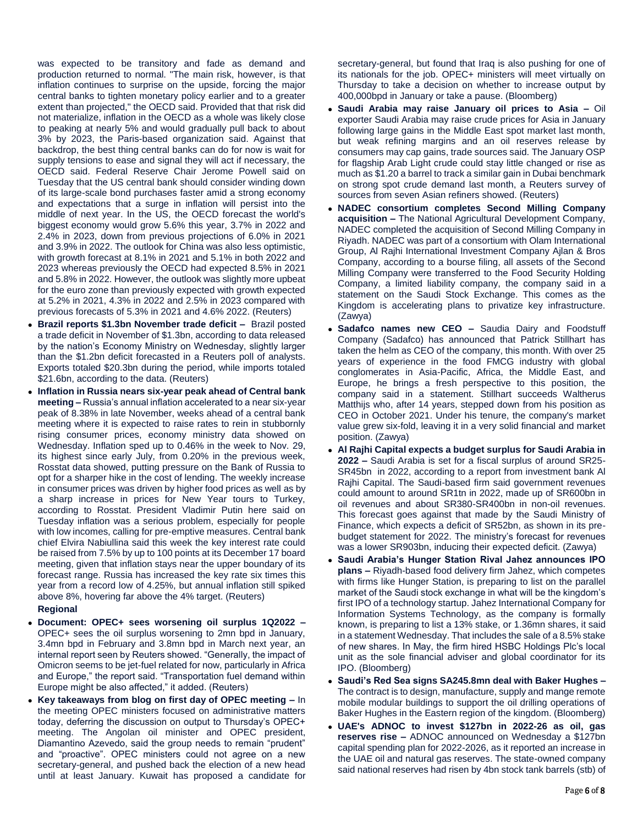was expected to be transitory and fade as demand and production returned to normal. "The main risk, however, is that inflation continues to surprise on the upside, forcing the major central banks to tighten monetary policy earlier and to a greater extent than projected," the OECD said. Provided that that risk did not materialize, inflation in the OECD as a whole was likely close to peaking at nearly 5% and would gradually pull back to about 3% by 2023, the Paris-based organization said. Against that backdrop, the best thing central banks can do for now is wait for supply tensions to ease and signal they will act if necessary, the OECD said. Federal Reserve Chair Jerome Powell said on Tuesday that the US central bank should consider winding down of its large-scale bond purchases faster amid a strong economy and expectations that a surge in inflation will persist into the middle of next year. In the US, the OECD forecast the world's biggest economy would grow 5.6% this year, 3.7% in 2022 and 2.4% in 2023, down from previous projections of 6.0% in 2021 and 3.9% in 2022. The outlook for China was also less optimistic, with growth forecast at 8.1% in 2021 and 5.1% in both 2022 and 2023 whereas previously the OECD had expected 8.5% in 2021 and 5.8% in 2022. However, the outlook was slightly more upbeat for the euro zone than previously expected with growth expected at 5.2% in 2021, 4.3% in 2022 and 2.5% in 2023 compared with previous forecasts of 5.3% in 2021 and 4.6% 2022. (Reuters)

- **Brazil reports \$1.3bn November trade deficit –** Brazil posted a trade deficit in November of \$1.3bn, according to data released by the nation's Economy Ministry on Wednesday, slightly larger than the \$1.2bn deficit forecasted in a Reuters poll of analysts. Exports totaled \$20.3bn during the period, while imports totaled \$21.6bn, according to the data. (Reuters)
- **Inflation in Russia nears six-year peak ahead of Central bank meeting –** Russia's annual inflation accelerated to a near six-year peak of 8.38% in late November, weeks ahead of a central bank meeting where it is expected to raise rates to rein in stubbornly rising consumer prices, economy ministry data showed on Wednesday. Inflation sped up to 0.46% in the week to Nov. 29, its highest since early July, from 0.20% in the previous week, Rosstat data showed, putting pressure on the Bank of Russia to opt for a sharper hike in the cost of lending. The weekly increase in consumer prices was driven by higher food prices as well as by a sharp increase in prices for New Year tours to Turkey, according to Rosstat. President Vladimir Putin here said on Tuesday inflation was a serious problem, especially for people with low incomes, calling for pre-emptive measures. Central bank chief Elvira Nabiullina said this week the key interest rate could be raised from 7.5% by up to 100 points at its December 17 board meeting, given that inflation stays near the upper boundary of its forecast range. Russia has increased the key rate six times this year from a record low of 4.25%, but annual inflation still spiked above 8%, hovering far above the 4% target. (Reuters)

### **Regional**

- **Document: OPEC+ sees worsening oil surplus 1Q2022 –** OPEC+ sees the oil surplus worsening to 2mn bpd in January, 3.4mn bpd in February and 3.8mn bpd in March next year, an internal report seen by Reuters showed. "Generally, the impact of Omicron seems to be jet-fuel related for now, particularly in Africa and Europe," the report said. "Transportation fuel demand within Europe might be also affected," it added. (Reuters)
- **Key takeaways from blog on first day of OPEC meeting –** In the meeting OPEC ministers focused on administrative matters today, deferring the discussion on output to Thursday's OPEC+ meeting. The Angolan oil minister and OPEC president, Diamantino Azevedo, said the group needs to remain "prudent" and "proactive". OPEC ministers could not agree on a new secretary-general, and pushed back the election of a new head until at least January. Kuwait has proposed a candidate for

secretary-general, but found that Iraq is also pushing for one of its nationals for the job. OPEC+ ministers will meet virtually on Thursday to take a decision on whether to increase output by 400,000bpd in January or take a pause. (Bloomberg)

- **Saudi Arabia may raise January oil prices to Asia –** Oil exporter Saudi Arabia may raise crude prices for Asia in January following large gains in the Middle East spot market last month, but weak refining margins and an oil reserves release by consumers may cap gains, trade sources said. The January OSP for flagship Arab Light crude could stay little changed or rise as much as \$1.20 a barrel to track a similar gain in Dubai benchmark on strong spot crude demand last month, a Reuters survey of sources from seven Asian refiners showed. (Reuters)
- **NADEC consortium completes Second Milling Company acquisition –** The National Agricultural Development Company, NADEC completed the acquisition of Second Milling Company in Riyadh. NADEC was part of a consortium with Olam International Group, Al Rajhi International Investment Company Ajlan & Bros Company, according to a bourse filing, all assets of the Second Milling Company were transferred to the Food Security Holding Company, a limited liability company, the company said in a statement on the Saudi Stock Exchange. This comes as the Kingdom is accelerating plans to privatize key infrastructure. (Zawya)
- **Sadafco names new CEO –** Saudia Dairy and Foodstuff Company (Sadafco) has announced that Patrick Stillhart has taken the helm as CEO of the company, this month. With over 25 years of experience in the food FMCG industry with global conglomerates in Asia-Pacific, Africa, the Middle East, and Europe, he brings a fresh perspective to this position, the company said in a statement. Stillhart succeeds Waltherus Matthijs who, after 14 years, stepped down from his position as CEO in October 2021. Under his tenure, the company's market value grew six-fold, leaving it in a very solid financial and market position. (Zawya)
- **Al Rajhi Capital expects a budget surplus for Saudi Arabia in 2022 –** Saudi Arabia is set for a fiscal surplus of around SR25- SR45bn in 2022, according to a report from investment bank Al Rajhi Capital. The Saudi-based firm said government revenues could amount to around SR1tn in 2022, made up of SR600bn in oil revenues and about SR380-SR400bn in non-oil revenues. This forecast goes against that made by the Saudi Ministry of Finance, which expects a deficit of SR52bn, as shown in its prebudget statement for 2022. The ministry's forecast for revenues was a lower SR903bn, inducing their expected deficit. (Zawya)
- **Saudi Arabia's Hunger Station Rival Jahez announces IPO plans –** Riyadh-based food delivery firm Jahez, which competes with firms like Hunger Station, is preparing to list on the parallel market of the Saudi stock exchange in what will be the kingdom's first IPO of a technology startup. Jahez International Company for Information Systems Technology, as the company is formally known, is preparing to list a 13% stake, or 1.36mn shares, it said in a statement Wednesday. That includes the sale of a 8.5% stake of new shares. In May, the firm hired HSBC Holdings Plc's local unit as the sole financial adviser and global coordinator for its IPO. (Bloomberg)
- **Saudi's Red Sea signs SA245.8mn deal with Baker Hughes –** The contract is to design, manufacture, supply and mange remote mobile modular buildings to support the oil drilling operations of Baker Hughes in the Eastern region of the kingdom. (Bloomberg)
- **UAE's ADNOC to invest \$127bn in 2022-26 as oil, gas reserves rise –** ADNOC announced on Wednesday a \$127bn capital spending plan for 2022-2026, as it reported an increase in the UAE oil and natural gas reserves. The state-owned company said national reserves had risen by 4bn stock tank barrels (stb) of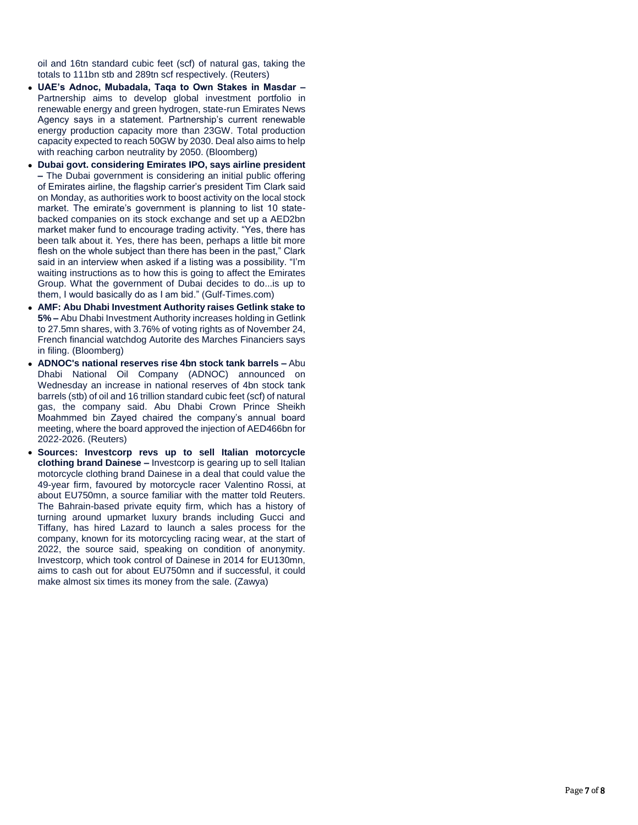oil and 16tn standard cubic feet (scf) of natural gas, taking the totals to 111bn stb and 289tn scf respectively. (Reuters)

- **UAE's Adnoc, Mubadala, Taqa to Own Stakes in Masdar –** Partnership aims to develop global investment portfolio in renewable energy and green hydrogen, state -run Emirates News Agency says in a statement. Partnership's current renewable energy production capacity more than 23GW. Total production capacity expected to reach 50GW by 2030. Deal also aims to help with reaching carbon neutrality by 2050. (Bloomberg)
- **Dubai govt. considering Emirates IPO, says airline president –** The Dubai government is considering an initial public offering of Emirates airline, the flagship carrier's president Tim Clark said on Monday, as authorities work to boost activity on the local stock market. The emirate's government is planning to list 10 state backed companies on its stock exchange and set up a AED2bn market maker fund to encourage trading activity. "Yes, there has been talk about it. Yes, there has been, perhaps a little bit more flesh on the whole subject than there has been in the past," Clark said in an interview when asked if a listing was a possibility. "I'm waiting instructions as to how this is going to affect the Emirates Group. What the government of Dubai decides to do...is up to them, I would basically do as I am bid." (Gulf -Times.com)
- **AMF: Abu Dhabi Investment Authority raises Getlink stake to 5% –** Abu Dhabi Investment Authority increases holding in Getlink to 27.5mn shares, with 3.76% of voting rights as of November 24, French financial watchdog Autorite des Marches Financiers says in filing. (Bloomberg)
- **ADNOC's national reserves rise 4bn stock tank barrels –** Abu Dhabi National Oil Company (ADNOC) announced on Wednesday an increase in national reserves of 4bn stock tank barrels (stb) of oil and 16 trillion standard cubic feet (scf) of natural gas, the company said. Abu Dhabi Crown Prince Sheikh Moahmmed bin Zayed chaired the company's annual board meeting, where the board approved the injection of AED466bn for 2022 -2026. (Reuters)
- **Sources: Investcorp revs up to sell Italian motorcycle clothing brand Dainese –** Investcorp is gearing up to sell Italian motorcycle clothing brand Dainese in a deal that could value the 49 -year firm, favoured by motorcycle racer Valentino Rossi, at about EU750mn, a source familiar with the matter told Reuters. The Bahrain -based private equity firm, which has a history of turning around upmarket luxury brands including Gucci and Tiffany, has hired Lazard to launch a sales process for the company, known for its motorcycling racing wear, at the start of 2022, the source said, speaking on condition of anonymity. Investcorp, which took control of Dainese in 2014 for EU130mn, aims to cash out for about EU750mn and if successful, it could make almost six times its money from the sale. (Zawya)